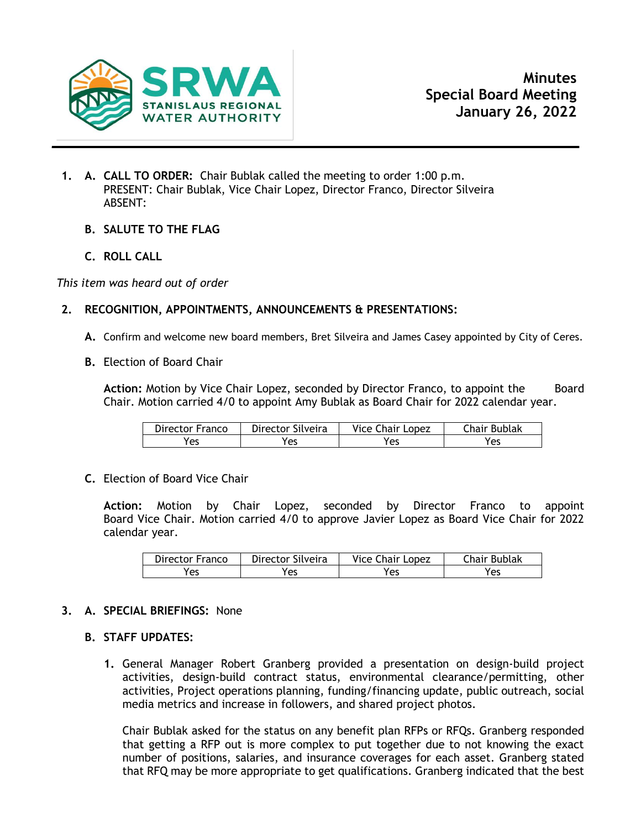

- **1. A. CALL TO ORDER:** Chair Bublak called the meeting to order 1:00 p.m. PRESENT: Chair Bublak, Vice Chair Lopez, Director Franco, Director Silveira ABSENT:
	- **B. SALUTE TO THE FLAG**
	- **C. ROLL CALL**

*This item was heard out of order*

# **2. RECOGNITION, APPOINTMENTS, ANNOUNCEMENTS & PRESENTATIONS:**

- **A.** Confirm and welcome new board members, Bret Silveira and James Casey appointed by City of Ceres.
- **B.** Election of Board Chair

Action: Motion by Vice Chair Lopez, seconded by Director Franco, to appoint the Board Chair. Motion carried 4/0 to appoint Amy Bublak as Board Chair for 2022 calendar year.

| Director Franco | Director Silveira | Vice Chair Lopez | Chair Bublak |
|-----------------|-------------------|------------------|--------------|
| Yes             | 'es               | Yes              | Yes          |

**C.** Election of Board Vice Chair

**Action:** Motion by Chair Lopez, seconded by Director Franco to appoint Board Vice Chair. Motion carried 4/0 to approve Javier Lopez as Board Vice Chair for 2022 calendar year.

| Director Franco | Director Silveira | Vice Chair Lopez | Chair Bublak |
|-----------------|-------------------|------------------|--------------|
| res             | 'es               | Yes              | Yes          |

## **3. A. SPECIAL BRIEFINGS:** None

## **B. STAFF UPDATES:**

**1.** General Manager Robert Granberg provided a presentation on design-build project activities, design-build contract status, environmental clearance/permitting, other activities, Project operations planning, funding/financing update, public outreach, social media metrics and increase in followers, and shared project photos.

Chair Bublak asked for the status on any benefit plan RFPs or RFQs. Granberg responded that getting a RFP out is more complex to put together due to not knowing the exact number of positions, salaries, and insurance coverages for each asset. Granberg stated that RFQ may be more appropriate to get qualifications. Granberg indicated that the best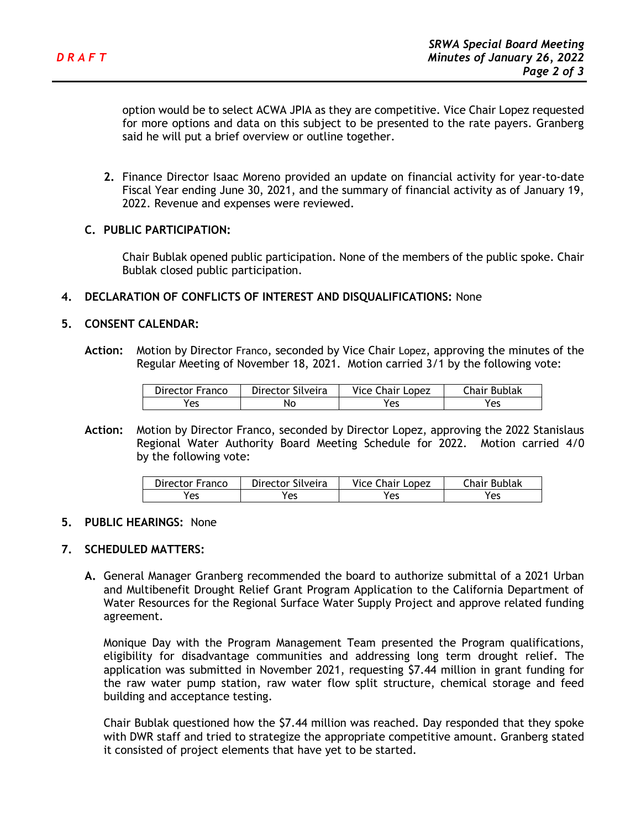option would be to select ACWA JPIA as they are competitive. Vice Chair Lopez requested for more options and data on this subject to be presented to the rate payers. Granberg said he will put a brief overview or outline together.

**2.** Finance Director Isaac Moreno provided an update on financial activity for year-to-date Fiscal Year ending June 30, 2021, and the summary of financial activity as of January 19, 2022. Revenue and expenses were reviewed.

## **C. PUBLIC PARTICIPATION:**

Chair Bublak opened public participation. None of the members of the public spoke. Chair Bublak closed public participation.

## **4. DECLARATION OF CONFLICTS OF INTEREST AND DISQUALIFICATIONS:** None

## **5. CONSENT CALENDAR:**

**Action:** Motion by Director Franco, seconded by Vice Chair Lopez, approving the minutes of the Regular Meeting of November 18, 2021. Motion carried 3/1 by the following vote:

| Director Franco | Director Silveira | <b>Vice Chair Lopez</b> | <b>Chair Bublak</b> |
|-----------------|-------------------|-------------------------|---------------------|
| Yes             | No                | Yes                     | res                 |

**Action:** Motion by Director Franco, seconded by Director Lopez, approving the 2022 Stanislaus Regional Water Authority Board Meeting Schedule for 2022. Motion carried 4/0 by the following vote:

| Director Franco | Director Silveira | <b>Vice Chair Lopez</b> | Chair Bublak |
|-----------------|-------------------|-------------------------|--------------|
| Yes             | res               | Yes                     | Yes          |

## **5. PUBLIC HEARINGS:** None

## **7. SCHEDULED MATTERS:**

**A.** General Manager Granberg recommended the board to authorize submittal of a 2021 Urban and Multibenefit Drought Relief Grant Program Application to the California Department of Water Resources for the Regional Surface Water Supply Project and approve related funding agreement.

Monique Day with the Program Management Team presented the Program qualifications, eligibility for disadvantage communities and addressing long term drought relief. The application was submitted in November 2021, requesting \$7.44 million in grant funding for the raw water pump station, raw water flow split structure, chemical storage and feed building and acceptance testing.

Chair Bublak questioned how the \$7.44 million was reached. Day responded that they spoke with DWR staff and tried to strategize the appropriate competitive amount. Granberg stated it consisted of project elements that have yet to be started.